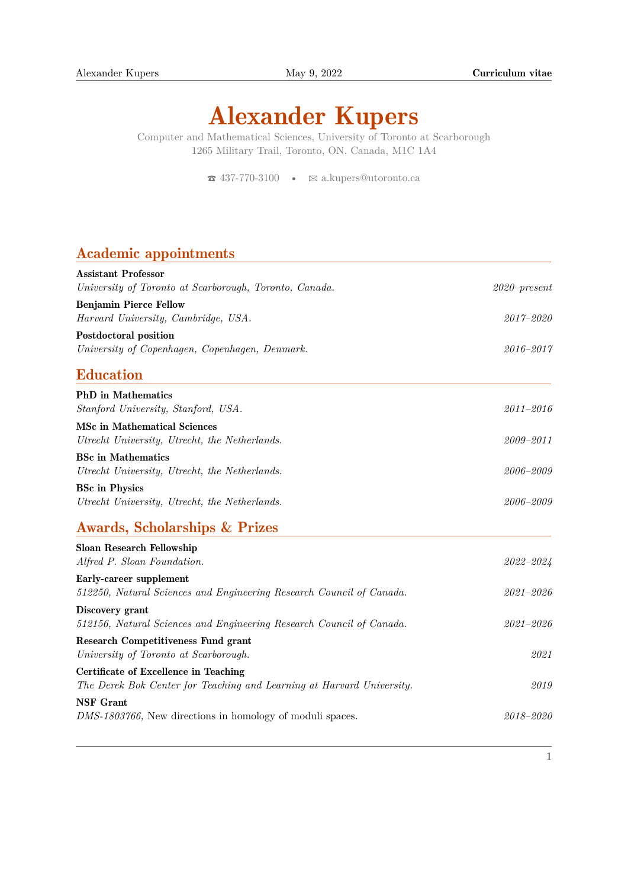# Alexander Kupers

Computer and Mathematical Sciences, University of Toronto at Scarborough 1265 Military Trail, Toronto, ON. Canada, M1C 1A4

 $\bullet$  [437-770-3100](tel:4377703100)  $\bullet$   $\boxtimes$  [a.kupers@utoronto.ca](mailto:a.kupers@utoronto.ca)

### Academic appointments

| <b>Assistant Professor</b>                                            |                 |
|-----------------------------------------------------------------------|-----------------|
| University of Toronto at Scarborough, Toronto, Canada.                | $2020$ -present |
| <b>Benjamin Pierce Fellow</b>                                         |                 |
| Harvard University, Cambridge, USA.                                   | $2017 - 2020$   |
| <b>Postdoctoral position</b>                                          |                 |
| University of Copenhagen, Copenhagen, Denmark.                        | 2016-2017       |
| <b>Education</b>                                                      |                 |
| <b>PhD</b> in Mathematics                                             |                 |
| Stanford University, Stanford, USA.                                   | $2011 - 2016$   |
| <b>MSc in Mathematical Sciences</b>                                   |                 |
| Utrecht University, Utrecht, the Netherlands.                         | $2009 - 2011$   |
| <b>BSc</b> in Mathematics                                             |                 |
| Utrecht University, Utrecht, the Netherlands.                         | 2006-2009       |
| <b>BSc in Physics</b>                                                 |                 |
| Utrecht University, Utrecht, the Netherlands.                         | 2006-2009       |
| <b>Awards, Scholarships &amp; Prizes</b>                              |                 |
| <b>Sloan Research Fellowship</b>                                      |                 |
| Alfred P. Sloan Foundation.                                           | 2022-2024       |
| Early-career supplement                                               |                 |
| 512250, Natural Sciences and Engineering Research Council of Canada.  | $2021 - 2026$   |
| Discovery grant                                                       |                 |
| 512156, Natural Sciences and Engineering Research Council of Canada.  | $2021 - 2026$   |
| <b>Research Competitiveness Fund grant</b>                            |                 |
| University of Toronto at Scarborough.                                 | 2021            |
| <b>Certificate of Excellence in Teaching</b>                          |                 |
| The Derek Bok Center for Teaching and Learning at Harvard University. | 2019            |
| <b>NSF</b> Grant                                                      |                 |
| DMS-1803766, New directions in homology of moduli spaces.             | 2018-2020       |
|                                                                       |                 |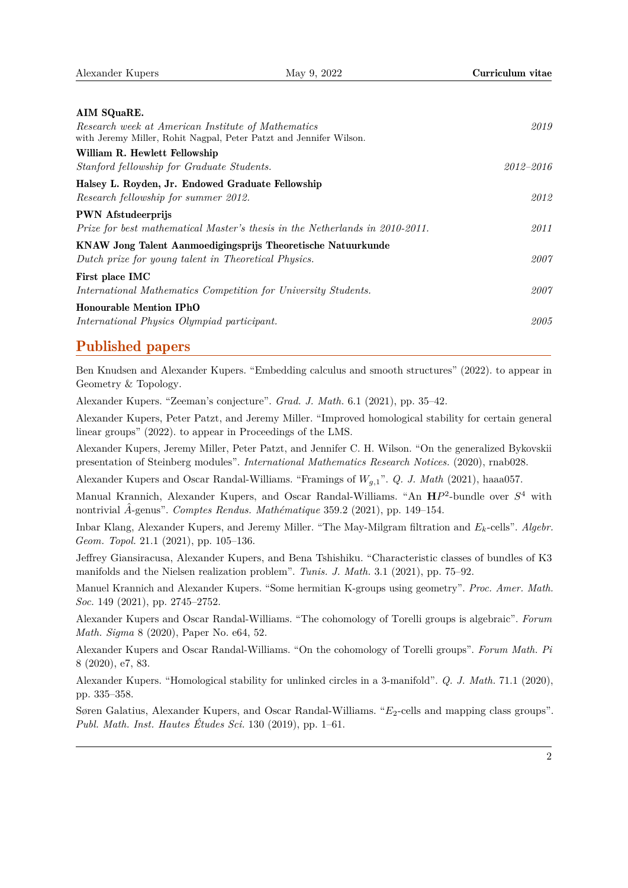| AIM SQuaRE.                                                                  |           |
|------------------------------------------------------------------------------|-----------|
| Research week at American Institute of Mathematics                           | 2019      |
| with Jeremy Miller, Rohit Nagpal, Peter Patzt and Jennifer Wilson.           |           |
| William R. Hewlett Fellowship                                                |           |
| Stanford fellowship for Graduate Students.                                   | 2012–2016 |
| Halsey L. Royden, Jr. Endowed Graduate Fellowship                            |           |
| Research fellowship for summer 2012.                                         | 2012      |
| <b>PWN</b> Afstudeerprijs                                                    |           |
| Prize for best mathematical Master's thesis in the Netherlands in 2010-2011. | 2011      |
| KNAW Jong Talent Aanmoedigingsprijs Theoretische Natuurkunde                 |           |
| Dutch prize for young talent in Theoretical Physics.                         | 2007      |
| First place IMC                                                              |           |
| International Mathematics Competition for University Students.               | 2007      |
| <b>Honourable Mention IPhO</b>                                               |           |
| International Physics Olympiad participant.                                  | 2005      |
|                                                                              |           |

#### Published papers

Ben Knudsen and Alexander Kupers. "Embedding calculus and smooth structures" (2022). to appear in Geometry & Topology.

Alexander Kupers. "Zeeman's conjecture". *Grad. J. Math.* 6.1 (2021), pp. 35–42.

Alexander Kupers, Peter Patzt, and Jeremy Miller. "Improved homological stability for certain general linear groups" (2022), to appear in Proceedings of the LMS.

Alexander Kupers, Jeremy Miller, Peter Patzt, and Jennifer C. H. Wilson. "On the generalized Bykovskii presentation of Steinberg modules". *International Mathematics Research Notices.* (2020), rnab028.

Alexander Kupers and Oscar Randal-Williams. "Framings of *Wg,*1". *Q. J. Math* (2021), haaa057.

Manual Krannich, Alexander Kupers, and Oscar Randal-Williams. "An **H***P* 2 -bundle over *S* <sup>4</sup> with nontrivial *A*ˆ-genus". *Comptes Rendus. Mathématique* 359.2 (2021), pp. 149–154.

Inbar Klang, Alexander Kupers, and Jeremy Miller. "The May-Milgram filtration and *Ek*-cells". *Algebr. Geom. Topol.* 21.1 (2021), pp. 105–136.

Jeffrey Giansiracusa, Alexander Kupers, and Bena Tshishiku. "Characteristic classes of bundles of K3 manifolds and the Nielsen realization problem". *Tunis. J. Math.* 3.1 (2021), pp. 75–92.

Manuel Krannich and Alexander Kupers. "Some hermitian K-groups using geometry". *Proc. Amer. Math. Soc.* 149 (2021), pp. 2745–2752.

Alexander Kupers and Oscar Randal-Williams. "The cohomology of Torelli groups is algebraic". *Forum Math. Sigma* 8 (2020), Paper No. e64, 52.

Alexander Kupers and Oscar Randal-Williams. "On the cohomology of Torelli groups". *Forum Math. Pi* 8 (2020), e7, 83.

Alexander Kupers. "Homological stability for unlinked circles in a 3-manifold". *Q. J. Math.* 71.1 (2020), pp. 335–358.

Søren Galatius, Alexander Kupers, and Oscar Randal-Williams. " $E_2$ -cells and mapping class groups". *Publ. Math. Inst. Hautes Études Sci.* 130 (2019), pp. 1–61.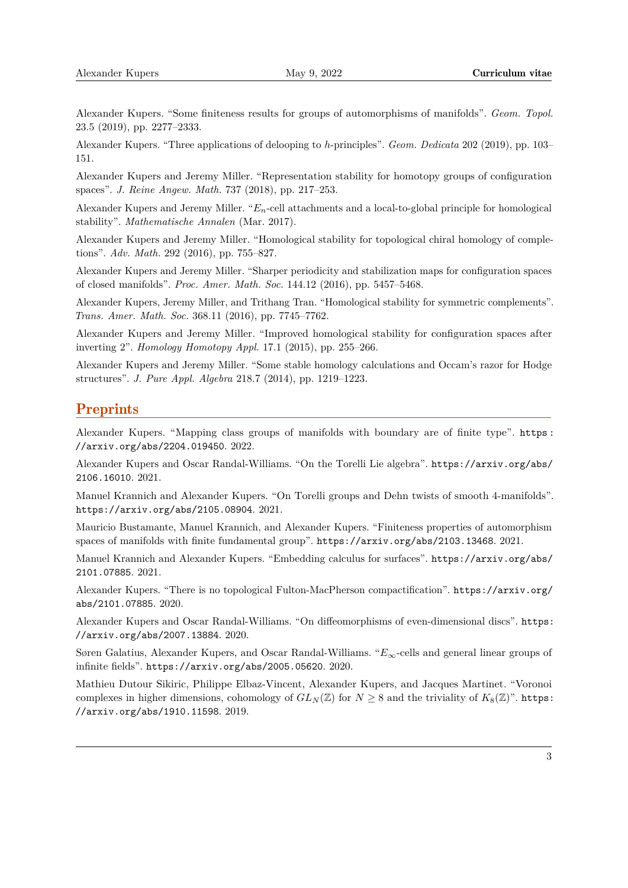Alexander Kupers. "Some finiteness results for groups of automorphisms of manifolds". *Geom. Topol.* 23.5 (2019), pp. 2277–2333.

Alexander Kupers. "Three applications of delooping to *h*-principles". *Geom. Dedicata* 202 (2019), pp. 103– 151.

Alexander Kupers and Jeremy Miller. "Representation stability for homotopy groups of configuration spaces". *J. Reine Angew. Math.* 737 (2018), pp. 217–253.

Alexander Kupers and Jeremy Miller. "*En*-cell attachments and a local-to-global principle for homological stability". *Mathematische Annalen* (Mar. 2017).

Alexander Kupers and Jeremy Miller. "Homological stability for topological chiral homology of completions". *Adv. Math.* 292 (2016), pp. 755–827.

Alexander Kupers and Jeremy Miller. "Sharper periodicity and stabilization maps for configuration spaces of closed manifolds". *Proc. Amer. Math. Soc.* 144.12 (2016), pp. 5457–5468.

Alexander Kupers, Jeremy Miller, and Trithang Tran. "Homological stability for symmetric complements". *Trans. Amer. Math. Soc.* 368.11 (2016), pp. 7745–7762.

Alexander Kupers and Jeremy Miller. "Improved homological stability for configuration spaces after inverting 2". *Homology Homotopy Appl.* 17.1 (2015), pp. 255–266.

Alexander Kupers and Jeremy Miller. "Some stable homology calculations and Occam's razor for Hodge structures". *J. Pure Appl. Algebra* 218.7 (2014), pp. 1219–1223.

#### **Preprints**

Alexander Kupers. "Mapping class groups of manifolds with boundary are of finite type". [https :](https://arxiv.org/abs/2204.019450) [//arxiv.org/abs/2204.019450](https://arxiv.org/abs/2204.019450). 2022.

Alexander Kupers and Oscar Randal-Williams. "On the Torelli Lie algebra". [https://arxiv.org/abs/](https://arxiv.org/abs/2106.16010) [2106.16010](https://arxiv.org/abs/2106.16010). 2021.

Manuel Krannich and Alexander Kupers. "On Torelli groups and Dehn twists of smooth 4-manifolds". <https://arxiv.org/abs/2105.08904>. 2021.

Mauricio Bustamante, Manuel Krannich, and Alexander Kupers. "Finiteness properties of automorphism spaces of manifolds with finite fundamental group". <https://arxiv.org/abs/2103.13468>. 2021.

Manuel Krannich and Alexander Kupers. "Embedding calculus for surfaces". [https://arxiv.org/abs/](https://arxiv.org/abs/2101.07885) [2101.07885](https://arxiv.org/abs/2101.07885). 2021.

Alexander Kupers. "There is no topological Fulton-MacPherson compactification". [https://arxiv.org/](https://arxiv.org/abs/2101.07885) [abs/2101.07885](https://arxiv.org/abs/2101.07885). 2020.

Alexander Kupers and Oscar Randal-Williams. "On diffeomorphisms of even-dimensional discs". [https:](https://arxiv.org/abs/2007.13884) [//arxiv.org/abs/2007.13884](https://arxiv.org/abs/2007.13884). 2020.

Søren Galatius, Alexander Kupers, and Oscar Randal-Williams. "*E*∞-cells and general linear groups of infinite fields". <https://arxiv.org/abs/2005.05620>. 2020.

Mathieu Dutour Sikiric, Philippe Elbaz-Vincent, Alexander Kupers, and Jacques Martinet. "Voronoi complexes in higher dimensions, cohomology of  $GL_N(\mathbb{Z})$  for  $N \geq 8$  and the triviality of  $K_8(\mathbb{Z})^n$ . [https:](https://arxiv.org/abs/1910.11598) [//arxiv.org/abs/1910.11598](https://arxiv.org/abs/1910.11598). 2019.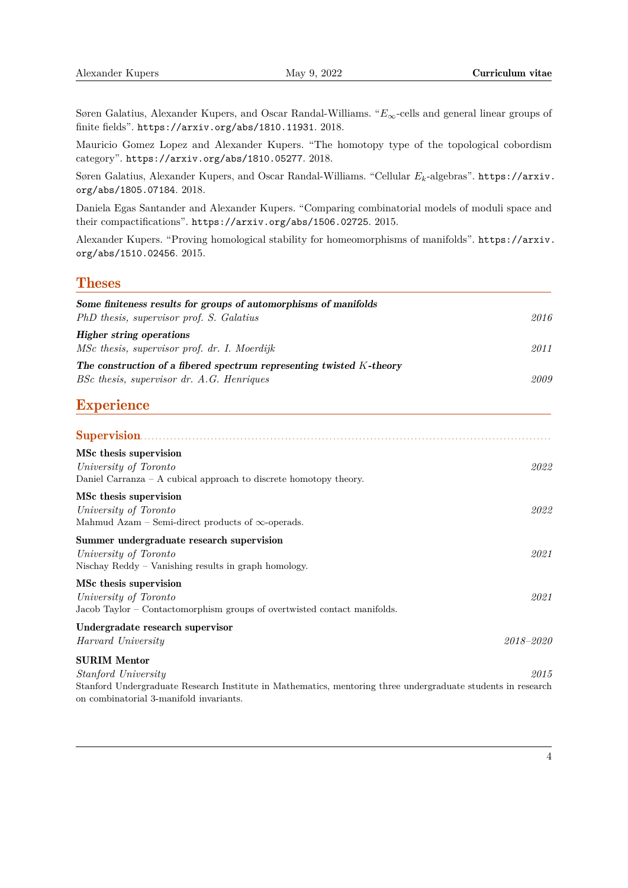Søren Galatius, Alexander Kupers, and Oscar Randal-Williams. "*E*∞-cells and general linear groups of finite fields". <https://arxiv.org/abs/1810.11931>. 2018.

Mauricio Gomez Lopez and Alexander Kupers. "The homotopy type of the topological cobordism category". <https://arxiv.org/abs/1810.05277>. 2018.

Søren Galatius, Alexander Kupers, and Oscar Randal-Williams. "Cellular *Ek*-algebras". [https://arxiv.](https://arxiv.org/abs/1805.07184) [org/abs/1805.07184](https://arxiv.org/abs/1805.07184). 2018.

Daniela Egas Santander and Alexander Kupers. "Comparing combinatorial models of moduli space and their compactifications". <https://arxiv.org/abs/1506.02725>. 2015.

Alexander Kupers. "Proving homological stability for homeomorphisms of manifolds". [https://arxiv.](https://arxiv.org/abs/1510.02456) [org/abs/1510.02456](https://arxiv.org/abs/1510.02456). 2015.

#### **Theses**

| Some finiteness results for groups of automorphisms of manifolds                                                                                                                                             |               |
|--------------------------------------------------------------------------------------------------------------------------------------------------------------------------------------------------------------|---------------|
| PhD thesis, supervisor prof. S. Galatius                                                                                                                                                                     | 2016          |
| <b>Higher string operations</b><br>MSc thesis, supervisor prof. dr. I. Moerdijk                                                                                                                              | 2011          |
| The construction of a fibered spectrum representing twisted K-theory                                                                                                                                         |               |
| BSc thesis, supervisor dr. A.G. Henriques                                                                                                                                                                    | 2009          |
| <b>Experience</b>                                                                                                                                                                                            |               |
|                                                                                                                                                                                                              |               |
| MSc thesis supervision<br>University of Toronto<br>Daniel Carranza $- A$ cubical approach to discrete homotopy theory.                                                                                       | 2022          |
| MSc thesis supervision<br>University of Toronto<br>Mahmud Azam – Semi-direct products of $\infty$ -operads.                                                                                                  | 2022          |
| Summer undergraduate research supervision<br>University of Toronto<br>Nischay Reddy $-$ Vanishing results in graph homology.                                                                                 | 2021          |
| MSc thesis supervision<br>University of Toronto<br>Jacob Taylor – Contactomorphism groups of overtwisted contact manifolds.                                                                                  | 2021          |
| Undergradate research supervisor<br>Harvard University                                                                                                                                                       | $2018 - 2020$ |
| <b>SURIM Mentor</b><br><i>Stanford University</i><br>Stanford Undergraduate Research Institute in Mathematics, mentoring three undergraduate students in research<br>on combinatorial 3-manifold invariants. | 2015          |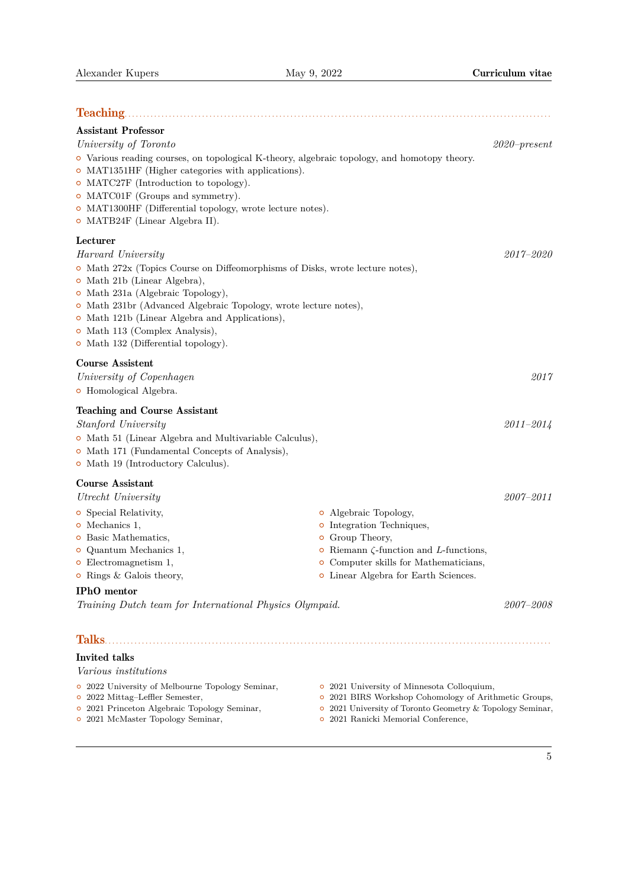| <b>Teaching.</b>                                                                                                                                                                                                                                                                                                                                                        |                                                                                                                                                                                                                              |                 |
|-------------------------------------------------------------------------------------------------------------------------------------------------------------------------------------------------------------------------------------------------------------------------------------------------------------------------------------------------------------------------|------------------------------------------------------------------------------------------------------------------------------------------------------------------------------------------------------------------------------|-----------------|
| <b>Assistant Professor</b>                                                                                                                                                                                                                                                                                                                                              |                                                                                                                                                                                                                              |                 |
| University of Toronto<br>• Various reading courses, on topological K-theory, algebraic topology, and homotopy theory.<br>$\circ$ MAT1351HF (Higher categories with applications).<br>• MATC27F (Introduction to topology).<br>• MATC01F (Groups and symmetry).<br>$\circ$ MAT1300HF (Differential topology, wrote lecture notes).<br>o MATB24F (Linear Algebra II).     |                                                                                                                                                                                                                              | $2020$ -present |
| Lecturer                                                                                                                                                                                                                                                                                                                                                                |                                                                                                                                                                                                                              |                 |
| Harvard University<br>o Math 272x (Topics Course on Diffeomorphisms of Disks, wrote lecture notes),<br>o Math 21b (Linear Algebra),<br>o Math 231a (Algebraic Topology),<br>• Math 231br (Advanced Algebraic Topology, wrote lecture notes),<br>• Math 121b (Linear Algebra and Applications),<br>o Math 113 (Complex Analysis),<br>• Math 132 (Differential topology). |                                                                                                                                                                                                                              | $2017 - 2020$   |
| <b>Course Assistent</b><br>University of Copenhagen<br><b>o</b> Homological Algebra.                                                                                                                                                                                                                                                                                    |                                                                                                                                                                                                                              | 2017            |
| <b>Teaching and Course Assistant</b><br>Stanford University<br>o Math 51 (Linear Algebra and Multivariable Calculus),<br>o Math 171 (Fundamental Concepts of Analysis),<br>• Math 19 (Introductory Calculus).                                                                                                                                                           |                                                                                                                                                                                                                              | $2011 - 2014$   |
| <b>Course Assistant</b><br>Utrecht University                                                                                                                                                                                                                                                                                                                           |                                                                                                                                                                                                                              | $2007 - 2011$   |
| <b>o</b> Special Relativity,<br>$\circ$ Mechanics 1,<br><b>o</b> Basic Mathematics,<br>$\circ$ Quantum Mechanics 1,<br>$\circ$ Electromagnetism 1,<br>$\circ$ Rings & Galois theory,<br><b>IPhO</b> mentor                                                                                                                                                              | o Algebraic Topology,<br><b>o</b> Integration Techniques,<br>o Group Theory,<br>• Riemann $\zeta$ -function and <i>L</i> -functions,<br>• Computer skills for Mathematicians,<br><b>o</b> Linear Algebra for Earth Sciences. |                 |
| Training Dutch team for International Physics Olympaid.                                                                                                                                                                                                                                                                                                                 |                                                                                                                                                                                                                              | 2007-2008       |
| Talks.<br>Invited talks<br><i>Various institutions</i>                                                                                                                                                                                                                                                                                                                  |                                                                                                                                                                                                                              |                 |
| • 2022 University of Melbourne Topology Seminar,<br>o 2022 Mittag-Leffler Semester,                                                                                                                                                                                                                                                                                     | • 2021 University of Minnesota Colloquium,<br>• 2021 BIRS Workshop Cohomology of Arithmetic Groups,                                                                                                                          |                 |

- $\bullet\,$  2021 Princeton Algebraic Topology Seminar,
- { 2021 McMaster Topology Seminar,
- { 2021 University of Toronto Geometry & Topology Seminar,
- { 2021 Ranicki Memorial Conference,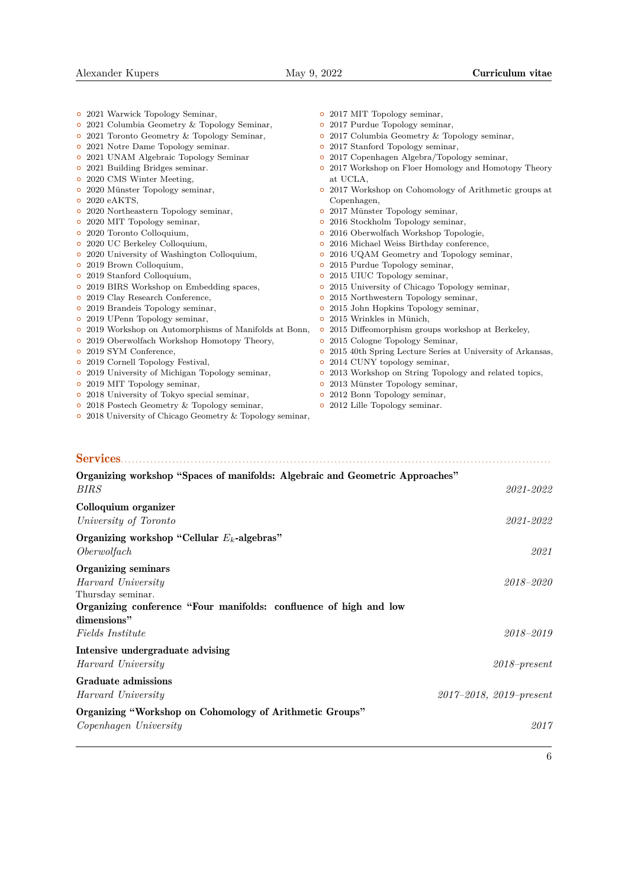|   | • 2021 Warwick Topology Seminar,                       | $\circ$ | 2017 MIT Topology seminar,                                 |
|---|--------------------------------------------------------|---------|------------------------------------------------------------|
|   | $\circ$ 2021 Columbia Geometry & Topology Seminar,     | O       | 2017 Purdue Topology seminar,                              |
|   | • 2021 Toronto Geometry & Topology Seminar,            | $\circ$ | 2017 Columbia Geometry & Topology seminar,                 |
|   | $\circ\,$ 2021 Notre Dame Topology seminar.            | $\circ$ | 2017 Stanford Topology seminar,                            |
|   | o 2021 UNAM Algebraic Topology Seminar                 | $\circ$ | 2017 Copenhagen Algebra/Topology seminar,                  |
|   | • 2021 Building Bridges seminar.                       | $\circ$ | 2017 Workshop on Floer Homology and Homotopy Theory        |
|   | • 2020 CMS Winter Meeting,                             |         | at UCLA.                                                   |
| o | 2020 Münster Topology seminar,                         | $\circ$ | 2017 Workshop on Cohomology of Arithmetic groups at        |
|   | $\circ$ 2020 eAKTS.                                    |         | Copenhagen,                                                |
|   | • 2020 Northeastern Topology seminar,                  | $\circ$ | 2017 Münster Topology seminar,                             |
|   | • 2020 MIT Topology seminar,                           | $\circ$ | 2016 Stockholm Topology seminar,                           |
|   | • 2020 Toronto Colloquium,                             | $\circ$ | 2016 Oberwolfach Workshop Topologie,                       |
|   | • 2020 UC Berkeley Colloquium,                         | $\circ$ | 2016 Michael Weiss Birthday conference,                    |
|   | • 2020 University of Washington Colloquium,            | o       | 2016 UQAM Geometry and Topology seminar,                   |
|   | o 2019 Brown Colloquium,                               | $\circ$ | 2015 Purdue Topology seminar,                              |
|   | o 2019 Stanford Colloquium,                            | $\circ$ | 2015 UIUC Topology seminar,                                |
|   | o 2019 BIRS Workshop on Embedding spaces,              | o       | 2015 University of Chicago Topology seminar,               |
|   | o 2019 Clay Research Conference,                       | o       | 2015 Northwestern Topology seminar,                        |
| o | 2019 Brandeis Topology seminar,                        | O       | 2015 John Hopkins Topology seminar,                        |
|   | • 2019 UPenn Topology seminar,                         | $\circ$ | 2015 Wrinkles in Münich,                                   |
|   | • 2019 Workshop on Automorphisms of Manifolds at Bonn, | $\circ$ | 2015 Diffeomorphism groups workshop at Berkeley,           |
|   | • 2019 Oberwolfach Workshop Homotopy Theory,           | $\circ$ | 2015 Cologne Topology Seminar,                             |
|   | o 2019 SYM Conference,                                 | o       | 2015 40th Spring Lecture Series at University of Arkansas, |
|   | • 2019 Cornell Topology Festival,                      | O       | 2014 CUNY topology seminar,                                |
|   | o 2019 University of Michigan Topology seminar,        | o       | 2013 Workshop on String Topology and related topics,       |
|   | • 2019 MIT Topology seminar,                           | $\circ$ | 2013 Münster Topology seminar,                             |
|   | • 2018 University of Tokyo special seminar,            |         | • 2012 Bonn Topology seminar,                              |

{ 2012 Lille Topology seminar.

- $\frac{2222}{2018}$  Postech Geometry & Topology seminar,
- { 2018 University of Chicago Geometry & Topology seminar,

## Services. . . . . . . . . . . . . . . . . . . . . . . . . . . . . . . . . . . . . . . . . . . . . . . . . . . . . . . . . . . . . . . . . . . . . . . . . . . . . . . . . . . . . . . . . . . . . . . . . . . . . . . . . . . . . . . . . . . . .

| Organizing workshop "Spaces of manifolds: Algebraic and Geometric Approaches"<br><i>BIRS</i>                                                       | 2021-2022                       |
|----------------------------------------------------------------------------------------------------------------------------------------------------|---------------------------------|
| Colloquium organizer<br>University of Toronto                                                                                                      | 2021-2022                       |
| Organizing workshop "Cellular $E_k$ -algebras"<br>Oberwolfach                                                                                      | 2021                            |
| Organizing seminars<br>Harvard University<br>Thursday seminar.<br>Organizing conference "Four manifolds: confluence of high and low<br>dimensions" | 2018-2020                       |
| <i>Fields Institute</i>                                                                                                                            | 2018-2019                       |
| Intensive undergraduate advising<br>Harvard University                                                                                             | $2018$ -present                 |
| Graduate admissions<br>Harvard University                                                                                                          | $2017 - 2018$ , $2019$ -present |
| Organizing "Workshop on Cohomology of Arithmetic Groups"<br>Copenhagen University                                                                  | 2017                            |